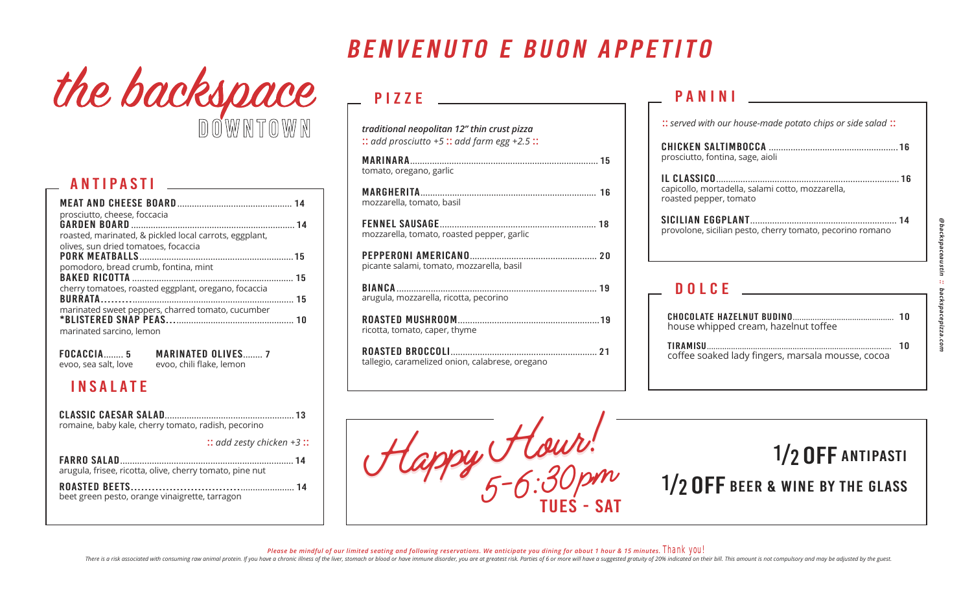# the backspace downtown

#### antipasti

| prosciutto, cheese, foccacia                           |  |
|--------------------------------------------------------|--|
|                                                        |  |
| roasted, marinated, & pickled local carrots, eggplant, |  |
| olives, sun dried tomatoes, focaccia                   |  |
|                                                        |  |
| pomodoro, bread crumb, fontina, mint                   |  |
|                                                        |  |
| cherry tomatoes, roasted eggplant, oregano, focaccia   |  |
|                                                        |  |
| marinated sweet peppers, charred tomato, cucumber      |  |
|                                                        |  |
| marinated sarcino, lemon                               |  |
|                                                        |  |

focaccia........ 5 evoo, sea salt, love marinated olives........ 7 evoo, chili flake, lemon

#### insalate

| romaine, baby kale, cherry tomato, radish, pecorino      |
|----------------------------------------------------------|
| $::$ add zesty chicken +3:                               |
| arugula, frisee, ricotta, olive, cherry tomato, pine nut |
| beet green pesto, orange vinaigrette, tarragon           |

### benvenuto e buon appetito

### PIZZE

| traditional neopolitan 12" thin crust pizza<br>$::$ add prosciutto +5 :: add farm egg +2.5 :: |
|-----------------------------------------------------------------------------------------------|
| tomato, oregano, garlic                                                                       |
| mozzarella, tomato, basil                                                                     |
| mozzarella, tomato, roasted pepper, garlic                                                    |
| picante salami, tomato, mozzarella, basil                                                     |
| arugula, mozzarella, ricotta, pecorino                                                        |
| ricotta, tomato, caper, thyme                                                                 |
| tallegio, caramelized onion, calabrese, oregano                                               |
|                                                                                               |

#### panini

| prosciutto, fontina, sage, aioli                                           |
|----------------------------------------------------------------------------|
| capicollo, mortadella, salami cotto, mozzarella,<br>roasted pepper, tomato |
| provolone, sicilian pesto, cherry tomato, pecorino romano                  |
|                                                                            |

:: *served with our house-made potato chips or side salad* ::

#### DOLCE<sub>\_</sub>

| house whipped cream, hazelnut toffee              |    |
|---------------------------------------------------|----|
| coffee soaked lady fingers, marsala mousse, cocoa | חר |



Please be mindful of our limited seating and following reservations. We anticipate you dining for about 1 hour & 15 minutes. Thank YOU!

There is a risk associated with consuming raw animal protein. If you have a chronic illness of the liver, stomach or blood or have immune disorder, you are at greatest risk. Parties of 6 or more will have a suggested gratu